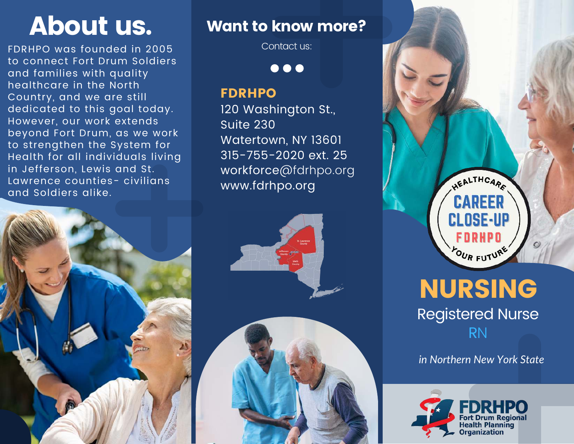FDRHPO was founded in 2005 to connect Fort Drum Soldiers and families with quality healthcare in the North Country, and we are still dedicated to this goal today. However, our work extends beyond Fort Drum, as we work to strengthen the System for Health for all individuals living in Jefferson, Lewis and St. Lawrence counties- civilians and Soldiers alike.



# About us. Want to know more?

Contact us:

 $\bullet\bullet\bullet$ 

#### FDRHPO

120 Washington St., Suite 230 Watertown, NY 13601 315-755-2020 ext. 25 workforce@fdrhpo.org www.fdrhpo.org





# NURSING Registered Nurse RN

*in Northern New York State*